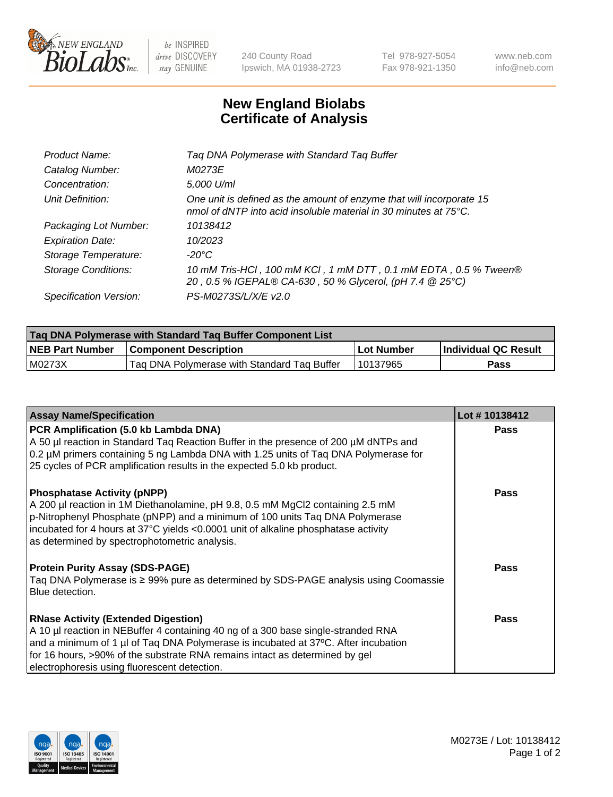

 $be$  INSPIRED drive DISCOVERY stay GENUINE

240 County Road Ipswich, MA 01938-2723 Tel 978-927-5054 Fax 978-921-1350 www.neb.com info@neb.com

## **New England Biolabs Certificate of Analysis**

| Product Name:           | Tag DNA Polymerase with Standard Tag Buffer                                                                                                        |
|-------------------------|----------------------------------------------------------------------------------------------------------------------------------------------------|
| Catalog Number:         | M0273E                                                                                                                                             |
| Concentration:          | 5,000 U/ml                                                                                                                                         |
| Unit Definition:        | One unit is defined as the amount of enzyme that will incorporate 15<br>nmol of dNTP into acid insoluble material in 30 minutes at $75^{\circ}$ C. |
| Packaging Lot Number:   | 10138412                                                                                                                                           |
| <b>Expiration Date:</b> | 10/2023                                                                                                                                            |
| Storage Temperature:    | $-20^{\circ}$ C                                                                                                                                    |
| Storage Conditions:     | 10 mM Tris-HCl, 100 mM KCl, 1 mM DTT, 0.1 mM EDTA, 0.5 % Tween®<br>20, 0.5 % IGEPAL® CA-630, 50 % Glycerol, (pH 7.4 @ 25°C)                        |
| Specification Version:  | PS-M0273S/L/X/E v2.0                                                                                                                               |

| Tag DNA Polymerase with Standard Tag Buffer Component List |                                             |            |                      |  |
|------------------------------------------------------------|---------------------------------------------|------------|----------------------|--|
| <b>NEB Part Number</b>                                     | <b>Component Description</b>                | Lot Number | Individual QC Result |  |
| M0273X                                                     | Tag DNA Polymerase with Standard Tag Buffer | 10137965   | <b>Pass</b>          |  |

| <b>Assay Name/Specification</b>                                                                                                                                                                                                                                                                                                                      | Lot #10138412 |
|------------------------------------------------------------------------------------------------------------------------------------------------------------------------------------------------------------------------------------------------------------------------------------------------------------------------------------------------------|---------------|
| PCR Amplification (5.0 kb Lambda DNA)<br>A 50 µl reaction in Standard Taq Reaction Buffer in the presence of 200 µM dNTPs and<br>0.2 µM primers containing 5 ng Lambda DNA with 1.25 units of Taq DNA Polymerase for<br>25 cycles of PCR amplification results in the expected 5.0 kb product.                                                       | <b>Pass</b>   |
| <b>Phosphatase Activity (pNPP)</b><br>A 200 µl reaction in 1M Diethanolamine, pH 9.8, 0.5 mM MgCl2 containing 2.5 mM<br>p-Nitrophenyl Phosphate (pNPP) and a minimum of 100 units Taq DNA Polymerase<br>incubated for 4 hours at 37°C yields <0.0001 unit of alkaline phosphatase activity<br>as determined by spectrophotometric analysis.          | Pass          |
| <b>Protein Purity Assay (SDS-PAGE)</b><br>Taq DNA Polymerase is ≥ 99% pure as determined by SDS-PAGE analysis using Coomassie<br>Blue detection.                                                                                                                                                                                                     | <b>Pass</b>   |
| <b>RNase Activity (Extended Digestion)</b><br>A 10 µl reaction in NEBuffer 4 containing 40 ng of a 300 base single-stranded RNA<br>and a minimum of 1 µl of Taq DNA Polymerase is incubated at 37°C. After incubation<br>for 16 hours, >90% of the substrate RNA remains intact as determined by gel<br>electrophoresis using fluorescent detection. | Pass          |